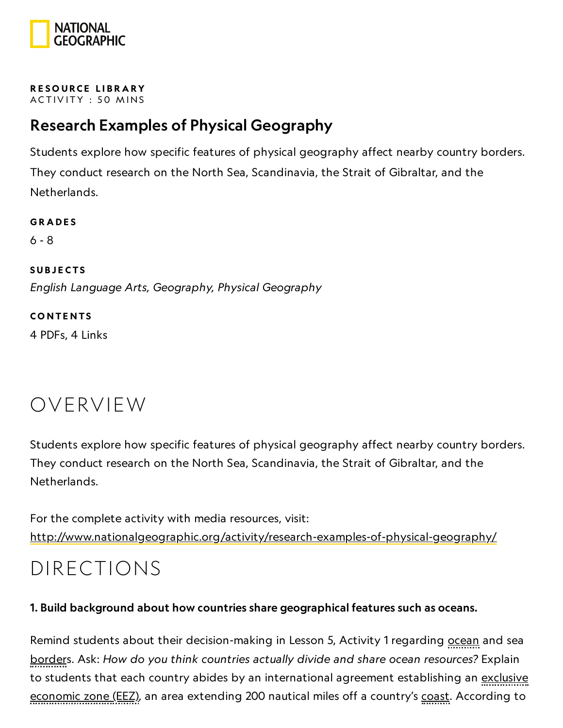

#### RESOURCE LIBRA[RY](https://www.nationalgeographic.org/education/resource-library/) ACTIVITY: 50 MINS

#### Research Examples of Physical Geography

Students explore how specific features of physical geography affect nearby country borders. They conduct research on the North Sea, Scandinavia, the Strait of Gibraltar, and the Netherlands.

**GRADES** 6 - 8 **SUBJECTS** English Language Arts, Geography, Physical Geography **CONTENTS** 

4 PDFs, 4 Links

### OVERVIEW

Students explore how specific features of physical geography affect nearby country borders. They conduct research on the North Sea, Scandinavia, the Strait of Gibraltar, and the Netherlands.

For the complete activity with media resources, visit: <http://www.nationalgeographic.org/activity/research-examples-of-physical-geography/>

### DIRECTIONS

#### 1. Build background about how countries share geographical features such as oceans.

Remind students about their decision-making in Lesson 5, Activity 1 regarding <u>ocean</u> and sea borders. Ask: How do you think countries actually divide and share ocean resources? Explain to students that each country abides by an international agreement establishing an exclusive economic zone (EEZ), an area extending 200 nautical miles off a country's coast. According to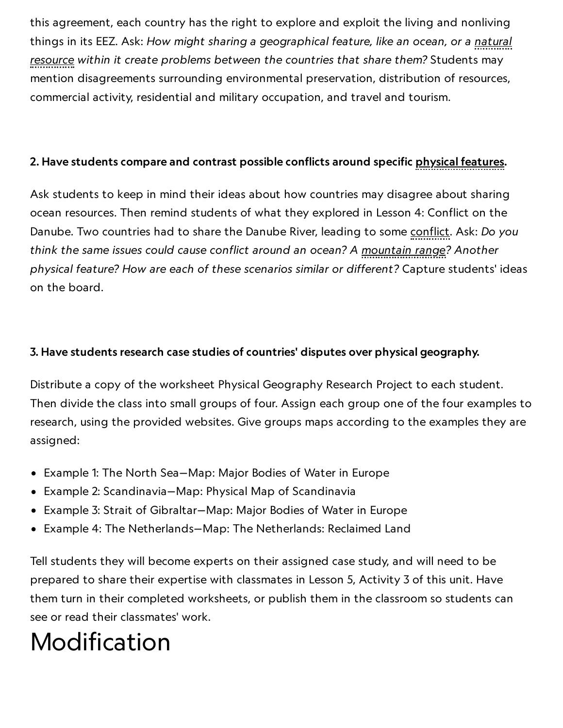this agreement, each country has the right to explore and exploit the living and nonliving things in its EEZ. Ask: How might sharing a geographical feature, like an ocean, or a natural resource within it create problems between the countries that share them? Students may mention disagreements surrounding environmental preservation, distribution of resources, commercial activity, residential and military occupation, and travel and tourism.

#### 2. Have students compare and contrast possible conflicts around specific physical features.

Ask students to keep in mind their ideas about how countries may disagree about sharing ocean resources. Then remind students of what they explored in Lesson 4: Conflict on the Danube. Two countries had to share the Danube River, leading to some conflict. Ask: Do you think the same issues could cause conflict around an ocean? A mountain range? Another physical feature? How are each of these scenarios similar or different? Capture students' ideas on the board.

#### 3. Have students research case studies of countries' disputes over physical geography.

Distribute a copy of the worksheet Physical Geography Research Project to each student. Then divide the class into small groups of four. Assign each group one of the four examples to research, using the provided websites. Give groups maps according to the examples they are assigned:

- Example 1: The North Sea—Map: Major Bodies of Water in Europe
- Example 2: Scandinavia—Map: Physical Map of Scandinavia
- Example 3: Strait of Gibraltar—Map: Major Bodies of Water in Europe
- Example 4: The Netherlands—Map: The Netherlands: Reclaimed Land

Tell students they will become experts on their assigned case study, and will need to be prepared to share their expertise with classmates in Lesson 5, Activity 3 of this unit. Have them turn in their completed worksheets, or publish them in the classroom so students can see or read their classmates' work.

### Modification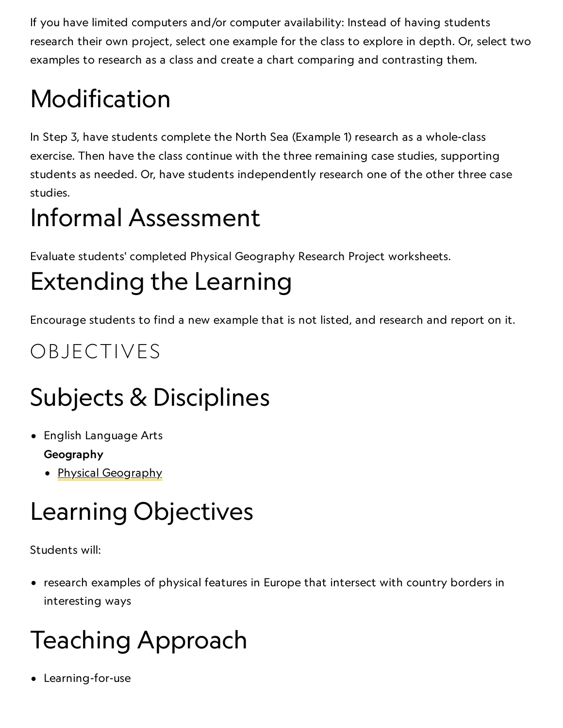If you have limited computers and/or computer availability: Instead of having students research their own project, select one example for the class to explore in depth. Or, select two examples to research as a class and create a chart comparing and contrasting them.

# Modification

In Step 3, have students complete the North Sea (Example 1) research as a whole-class exercise. Then have the class continue with the three remaining case studies, supporting students as needed. Or, have students independently research one of the other three case studies.

### Informal Assessment

Evaluate students' completed Physical Geography Research Project worksheets.

### Extending the Learning

Encourage students to find a new example that is not listed, and research and report on it.

### OBJECTIVES

# Subjects & Disciplines

- English Language Arts Geography
	- Physical [Geography](http://education.nationalgeographic.com/education/encyclopedia/geography/?ar_a=1)

## Learning Objectives

Students will:

• research examples of physical features in Europe that intersect with country borders in interesting ways

# Teaching Approach

Learning-for-use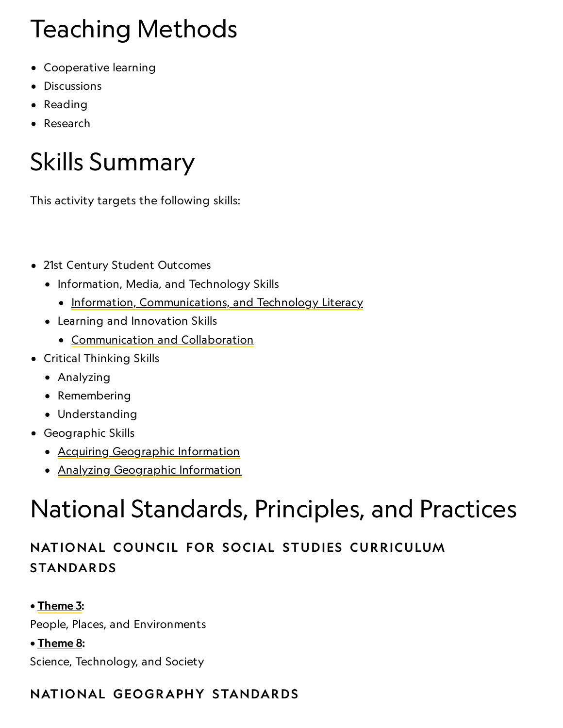## Teaching Methods

- Cooperative learning
- Discussions
- Reading
- Research

### Skills Summary

This activity targets the following skills:

- 21st Century Student Outcomes
	- Information, Media, and Technology Skills
		- [Information, Communications, and](http://www.p21.org/index.php?option=com_content&task=view&id=350&Itemid=120) Technology Literacy
	- Learning and Innovation Skills
		- [Communication](http://www.p21.org/index.php?option=com_content&task=view&id=261&Itemid=120) and Collaboration
- Critical Thinking Skills
	- Analyzing
	- Remembering
	- Understanding
- Geographic Skills
	- Acquiring [Geographic](https://www.nationalgeographic.org/geographic-skills/2/) Information
	- Analyzing [Geographic](http://education.nationalgeographic.com/education/geographic-skills/4/?ar_a=1) Information

### National Standards, Principles, and Practices

#### NATIONAL COUNCIL FOR SOCIAL STUDIES CURRICULUM STANDARDS

• [Theme](http://www.socialstudies.org/standards/strands#III) 3:

People, Places, and Environments

• [Theme](http://www.socialstudies.org/standards/strands#VIII) 8:

Science, Technology, and Society

#### NATIONAL GEOGRAPHY STANDARDS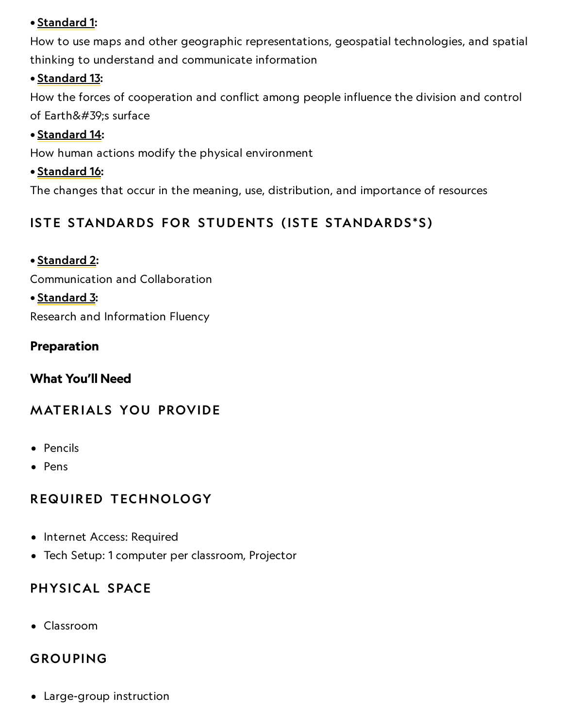#### • [Standard](https://www.nationalgeographic.org/education/standards/national-geography-standards/1/) 1:

How to use maps and other geographic representations, geospatial technologies, and spatial thinking to understand and communicate information

#### • [Standard](https://www.nationalgeographic.org/education/standards/national-geography-standards/13/) 13:

How the forces of cooperation and conflict among people influence the division and control of Earth's surface

#### • [Standard](https://www.nationalgeographic.org/education/standards/national-geography-standards/14/) 14:

How human actions modify the physical environment

#### • [Standard](https://www.nationalgeographic.org/education/standards/national-geography-standards/16/) 16:

The changes that occur in the meaning, use, distribution, and importance of resources

#### ISTE STANDARDS FOR STUDENTS (ISTE STANDARDS\*S)

#### • [Standard](http://www.iste.org/standards/nets-for-students) 2:

Communication and Collaboration

#### • [Standard](http://www.iste.org/standards/ISTE-standards/standards-for-students) 3:

Research and Information Fluency

#### Preparation

#### What You'll Need

#### **MATERIALS YOU PROVIDE**

- Pencils
- Pens

#### REQUIRED TECHNOLOGY

- Internet Access: Required
- Tech Setup: 1 computer per classroom, Projector

#### PHYSICAL SPACE

Classroom

#### GROUPING

Large-group instruction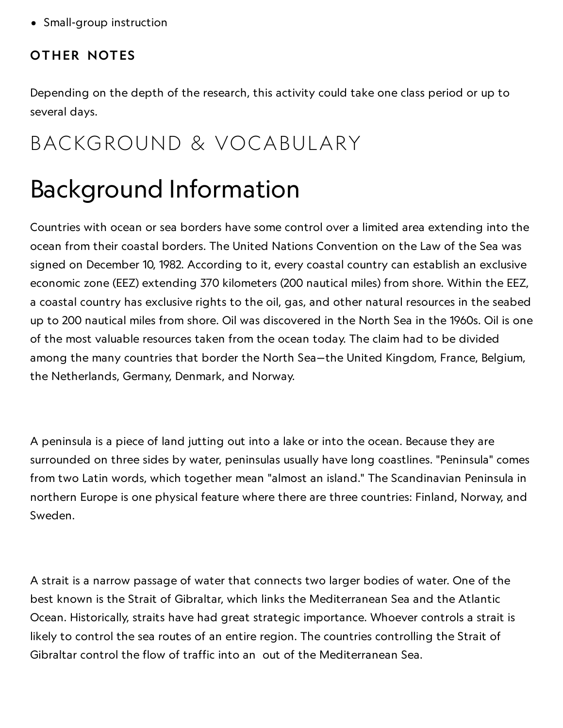• Small-group instruction

#### OTHER NOTES

Depending on the depth of the research, this activity could take one class period or up to several days.

### BACKGROUND & VOCABULARY

### Background Information

Countries with ocean or sea borders have some control over a limited area extending into the ocean from their coastal borders. The United Nations Convention on the Law of the Sea was signed on December 10, 1982. According to it, every coastal country can establish an exclusive economic zone (EEZ) extending 370 kilometers (200 nautical miles) from shore. Within the EEZ, a coastal country has exclusive rights to the oil, gas, and other natural resources in the seabed up to 200 nautical miles from shore. Oil was discovered in the North Sea in the 1960s. Oil is one of the most valuable resources taken from the ocean today. The claim had to be divided among the many countries that border the North Sea—the United Kingdom, France, Belgium, the Netherlands, Germany, Denmark, and Norway.

A peninsula is a piece of land jutting out into a lake or into the ocean. Because they are surrounded on three sides by water, peninsulas usually have long coastlines. "Peninsula" comes from two Latin words, which together mean "almost an island." The Scandinavian Peninsula in northern Europe is one physical feature where there are three countries: Finland, Norway, and Sweden.

A strait is a narrow passage of water that connects two larger bodies of water. One of the best known is the Strait of Gibraltar, which links the Mediterranean Sea and the Atlantic Ocean. Historically, straits have had great strategic importance. Whoever controls a strait is likely to control the sea routes of an entire region. The countries controlling the Strait of Gibraltar control the flow of traffic into an out of the Mediterranean Sea.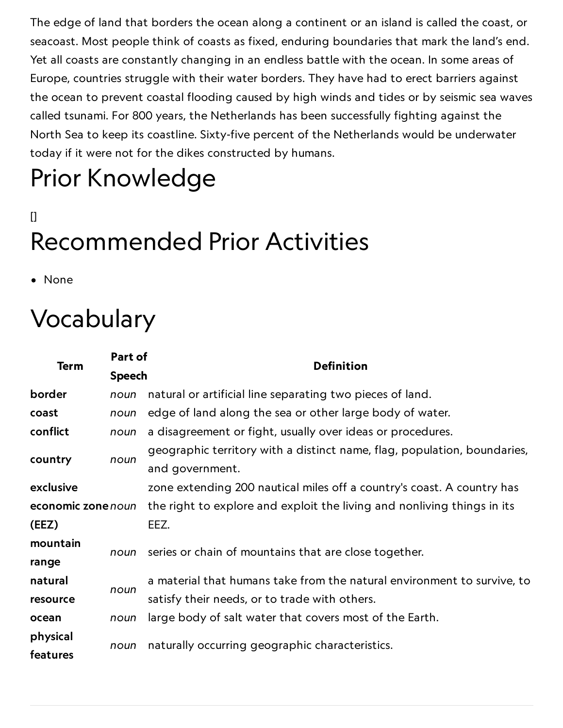The edge of land that borders the ocean along a continent or an island is called the coast, or seacoast. Most people think of coasts as fixed, enduring boundaries that mark the land's end. Yet all coasts are constantly changing in an endless battle with the ocean. In some areas of Europe, countries struggle with their water borders. They have had to erect barriers against the ocean to prevent coastal flooding caused by high winds and tides or by seismic sea waves called tsunami. For 800 years, the Netherlands has been successfully fighting against the North Sea to keep its coastline. Sixty-five percent of the Netherlands would be underwater today if it were not for the dikes constructed by humans.

# Prior Knowledge

### $\Box$ Recommended Prior Activities

• None

### Vocabulary

| Term               | Part of | <b>Definition</b>                                                                           |
|--------------------|---------|---------------------------------------------------------------------------------------------|
|                    |         | <b>Speech</b>                                                                               |
| border             | noun    | natural or artificial line separating two pieces of land.                                   |
| coast              | noun    | edge of land along the sea or other large body of water.                                    |
| conflict           | noun    | a disagreement or fight, usually over ideas or procedures.                                  |
| country            | noun    | geographic territory with a distinct name, flag, population, boundaries,<br>and government. |
| exclusive          |         | zone extending 200 nautical miles off a country's coast. A country has                      |
| economic zone noun |         | the right to explore and exploit the living and nonliving things in its                     |
| (EEZ)              |         | EEZ.                                                                                        |
| mountain           | noun    | series or chain of mountains that are close together.                                       |
| range              |         |                                                                                             |
| natural            | noun    | a material that humans take from the natural environment to survive, to                     |
| resource           |         | satisfy their needs, or to trade with others.                                               |
| ocean              | noun    | large body of salt water that covers most of the Earth.                                     |
| physical           | noun    | naturally occurring geographic characteristics.                                             |
| features           |         |                                                                                             |